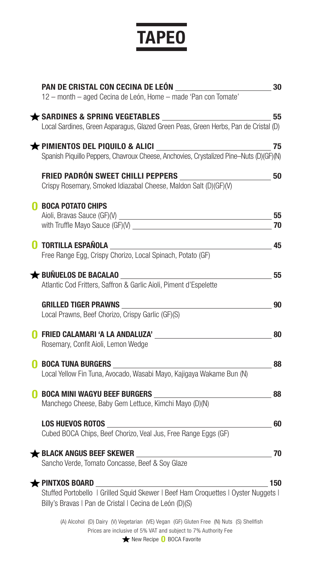# **TAPEO**

| PAN DE CRISTAL CON CECINA DE LEÓN                                                                | 30  |
|--------------------------------------------------------------------------------------------------|-----|
| 12 - month - aged Cecina de León, Home - made 'Pan con Tomate'                                   |     |
| <b>★ SARDINES &amp; SPRING VEGETABLES</b>                                                        | 55  |
| Local Sardines, Green Asparagus, Glazed Green Peas, Green Herbs, Pan de Cristal (D)              |     |
| $\bigstar$ pimientos del piquilo & alici $\qquad \qquad$                                         | 75  |
| Spanish Piquillo Peppers, Chavroux Cheese, Anchovies, Crystalized Pine-Nuts (D)(GF)(N)           |     |
| <b>FRIED PADRÓN SWEET CHILLI PEPPERS</b>                                                         | 50  |
| Crispy Rosemary, Smoked Idiazabal Cheese, Maldon Salt (D)(GF)(V)                                 |     |
| <b>BOCA POTATO CHIPS</b>                                                                         |     |
|                                                                                                  | 55  |
| with Truffle Mayo Sauce (GF)(V)                                                                  | 70  |
| <b>TORTILLA ESPAÑOLA</b>                                                                         | 45  |
| Free Range Egg, Crispy Chorizo, Local Spinach, Potato (GF)                                       |     |
|                                                                                                  |     |
| <b>★ BUÑUELOS DE BACALAO</b>                                                                     | 55  |
| Atlantic Cod Fritters, Saffron & Garlic Aioli, Piment d'Espelette                                |     |
| <b>GRILLED TIGER PRAWNS</b>                                                                      | 90  |
| Local Prawns, Beef Chorizo, Crispy Garlic (GF)(S)                                                |     |
| <b>FRIED CALAMARI 'A LA ANDALUZA'</b>                                                            | 80  |
| Rosemary, Confit Aioli, Lemon Wedge                                                              |     |
|                                                                                                  |     |
| <b>BOCA TUNA BURGERS</b><br>Local Yellow Fin Tuna, Avocado, Wasabi Mayo, Kajigaya Wakame Bun (N) | 88  |
|                                                                                                  |     |
| <b>BOCA MINI WAGYU BEEF BURGERS</b>                                                              | 88  |
| Manchego Cheese, Baby Gem Lettuce, Kimchi Mayo (D)(N)                                            |     |
| <b>LOS HUEVOS ROTOS</b>                                                                          | 60  |
| Cubed BOCA Chips, Beef Chorizo, Veal Jus, Free Range Eggs (GF)                                   |     |
|                                                                                                  |     |
| <b>★ BLACK ANGUS BEEF SKEWER</b><br>Sancho Verde, Tomato Concasse, Beef & Soy Glaze              | 70  |
|                                                                                                  |     |
| $\bigstar$ pintxos board                                                                         | 150 |
| Stuffed Portobello   Grilled Squid Skewer   Beef Ham Croquettes   Oyster Nuggets                 |     |
| Billy's Bravas   Pan de Cristal   Cecina de León (D)(S)                                          |     |
| (A) Alcohol (D) Dairy (V) Vegetarian (VE) Vegan (GF) Gluten Free (N) Nuts (S) Shellfish          |     |

Prices are inclusive of 5% VAT and subject to 7% Authority Fee

New Recipe **0** BOCA Favorite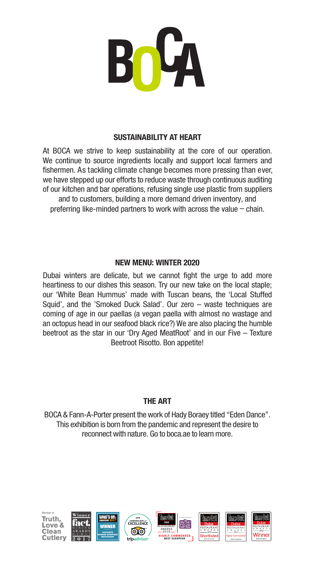

#### **SUSTAINABILITY AT HEART**

At BOCA we strive to keep sustainability at the core of our operation. We continue to source ingredients locally and support local farmers and fishermen. As tackling climate change becomes more pressing than ever, we have stepped up our efforts to reduce waste through continuous auditing of our kitchen and bar operations, refusing single use plastic from suppliers and to customers, building a more demand driven inventory, and preferring like-minded partners to work with across the value – chain.

#### **NEW MENU: WINTER 2020**

Dubai winters are delicate, but we cannot fight the urge to add more heartiness to our dishes this season. Try our new take on the local staple; our 'White Bean Hummus' made with Tuscan beans, the 'Local Stuffed Squid', and the 'Smoked Duck Salad'. Our zero – waste techniques are coming of age in our paellas (a vegan paella with almost no wastage and an octopus head in our seafood black rice?) We are also placing the humble beetroot as the star in our 'Dry Aged MeatRoot' and in our Five – Texture Beetroot Risotto. Bon appetite!

#### **THE ART**

BOCA & Fann-A-Porter present the work of Hady Boraey titled "Eden Dance". This exhibition is born from the pandemic and represent the desire to reconnect with nature. Go to boca.ae to learn more.

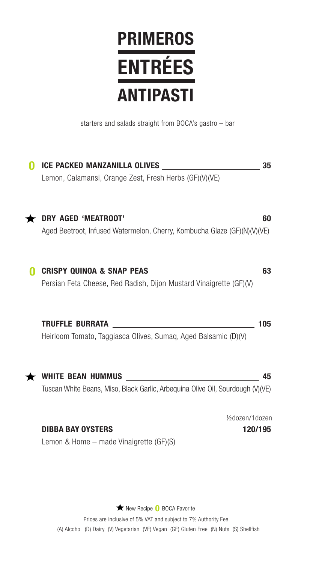### **PRIMEROS ANTIPASTI ENTRÉES**

starters and salads straight from BOCA's gastro – bar

| <b>ICE PACKED MANZANILLA OLIVES</b>                                             | 35  |
|---------------------------------------------------------------------------------|-----|
| Lemon, Calamansi, Orange Zest, Fresh Herbs (GF)(V)(VE)                          |     |
| DRY AGED 'MEATROOT'<br><u> 1990 - John Stein, Amerikaansk politiker (</u>       | 60  |
| Aged Beetroot, Infused Watermelon, Cherry, Kombucha Glaze (GF)(N)(V)(VE)        |     |
| <b>CRISPY QUINOA &amp; SNAP PEAS</b>                                            | 63  |
| Persian Feta Cheese, Red Radish, Dijon Mustard Vinaigrette (GF)(V)              |     |
| <b>TRUFFLE BURRATA</b>                                                          | 105 |
| Heirloom Tomato, Taggiasca Olives, Sumaq, Aged Balsamic (D)(V)                  |     |
| <b>WHITE BEAN HUMMUS</b>                                                        | 45  |
| Tuscan White Beans, Miso, Black Garlic, Arbequina Olive Oil, Sourdough (V) (VE) |     |
| 1/2dozen/1dozen                                                                 |     |
| DIBBA BAY OYSTERS<br>120/195                                                    |     |
| Lemon & Home – made Vinaigrette (GF)(S)                                         |     |

New Recipe **0** BOCA Favorite

Prices are inclusive of 5% VAT and subject to 7% Authority Fee. (A) Alcohol (D) Dairy (V) Vegetarian (VE) Vegan (GF) Gluten Free (N) Nuts (S) Shellfish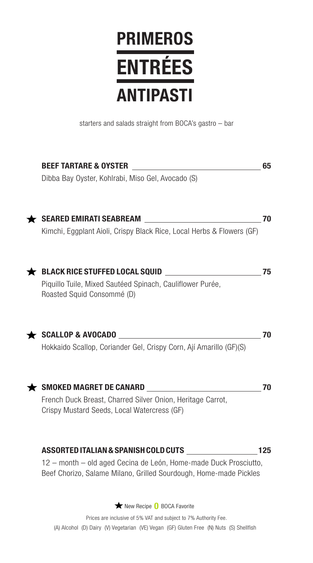### **PRIMEROS ANTIPASTI ENTRÉES**

starters and salads straight from BOCA's gastro – bar

| <b>BEEF TARTARE &amp; OYSTER</b>                                                                                                      | 65  |
|---------------------------------------------------------------------------------------------------------------------------------------|-----|
| Dibba Bay Oyster, Kohlrabi, Miso Gel, Avocado (S)                                                                                     |     |
| <b>SEARED EMIRATI SEABREAM</b>                                                                                                        | 70  |
| Kimchi, Eggplant Aioli, Crispy Black Rice, Local Herbs & Flowers (GF)                                                                 |     |
| <b>BLACK RICE STUFFED LOCAL SQUID</b>                                                                                                 | 75  |
| Piquillo Tuile, Mixed Sautéed Spinach, Cauliflower Purée,<br>Roasted Squid Consommé (D)                                               |     |
| <b>SCALLOP &amp; AVOCADO</b>                                                                                                          | 70  |
| Hokkaido Scallop, Coriander Gel, Crispy Corn, Ají Amarillo (GF)(S)                                                                    |     |
| $\bigstar$ SMOKED MAGRET DE CANARD                                                                                                    | 70  |
| French Duck Breast, Charred Silver Onion, Heritage Carrot,<br>Crispy Mustard Seeds, Local Watercress (GF)                             |     |
| ASSORTED ITALIAN & SPANISH COLD CUTS                                                                                                  | 125 |
| 12 - month - old aged Cecina de León, Home-made Duck Prosciutto,<br>Beef Chorizo, Salame Milano, Grilled Sourdough, Home-made Pickles |     |
| ★ New Recipe 0 BOCA Favorite                                                                                                          |     |

Prices are inclusive of 5% VAT and subject to 7% Authority Fee. (A) Alcohol (D) Dairy (V) Vegetarian (VE) Vegan (GF) Gluten Free (N) Nuts (S) Shellfish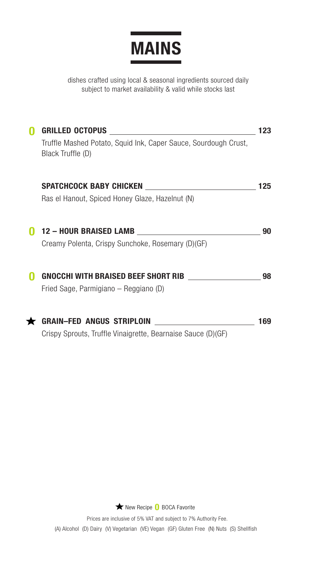

dishes crafted using local & seasonal ingredients sourced daily subject to market availability & valid while stocks last

| GRILLED OCTOPUS                                                                      | 123 |
|--------------------------------------------------------------------------------------|-----|
| Truffle Mashed Potato, Squid Ink, Caper Sauce, Sourdough Crust,<br>Black Truffle (D) |     |
| SPATCHCOCK BABY CHICKEN <b>SPATCHCOCK</b>                                            | 125 |
| Ras el Hanout, Spiced Honey Glaze, Hazelnut (N)                                      |     |
| 12 - HOUR BRAISED LAMB _______________________                                       | 90  |
| Creamy Polenta, Crispy Sunchoke, Rosemary (D)(GF)                                    |     |
| <b>GNOCCHI WITH BRAISED BEEF SHORT RIB</b>                                           | 98  |
| Fried Sage, Parmigiano – Reggiano (D)                                                |     |
| <b>GRAIN-FED ANGUS STRIPLOIN</b>                                                     | 169 |
| Crispy Sprouts, Truffle Vinaigrette, Bearnaise Sauce (D) (GF)                        |     |

New Recipe **0** BOCA Favorite

Prices are inclusive of 5% VAT and subject to 7% Authority Fee. (A) Alcohol (D) Dairy (V) Vegetarian (VE) Vegan (GF) Gluten Free (N) Nuts (S) Shellfish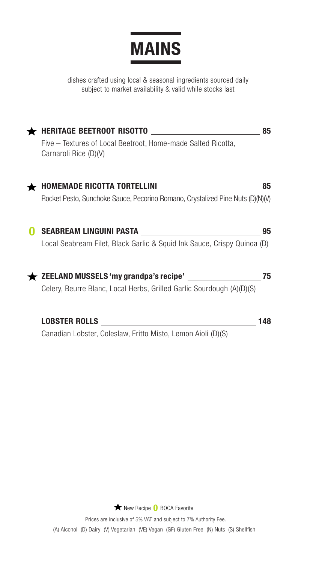

dishes crafted using local & seasonal ingredients sourced daily subject to market availability & valid while stocks last

| <b>HERITAGE BEETROOT RISOTTO</b><br><u> 1980 - Andrea Station Barbara, amerikan per</u> | 85  |
|-----------------------------------------------------------------------------------------|-----|
| Five – Textures of Local Beetroot, Home-made Salted Ricotta,<br>Carnaroli Rice (D)(V)   |     |
|                                                                                         | 85  |
| Rocket Pesto, Sunchoke Sauce, Pecorino Romano, Crystalized Pine Nuts (D)(N)(V)          |     |
|                                                                                         | 95  |
| Local Seabream Filet, Black Garlic & Squid Ink Sauce, Crispy Quinoa (D)                 |     |
| ZEELAND MUSSELS 'my grandpa's recipe'                                                   | 75  |
| Celery, Beurre Blanc, Local Herbs, Grilled Garlic Sourdough (A)(D)(S)                   |     |
| <b>LOBSTER ROLLS</b>                                                                    | 148 |

Canadian Lobster, Coleslaw, Fritto Misto, Lemon Aioli (D)(S)

New Recipe **0** BOCA Favorite

Prices are inclusive of 5% VAT and subject to 7% Authority Fee. (A) Alcohol (D) Dairy (V) Vegetarian (VE) Vegan (GF) Gluten Free (N) Nuts (S) Shellfish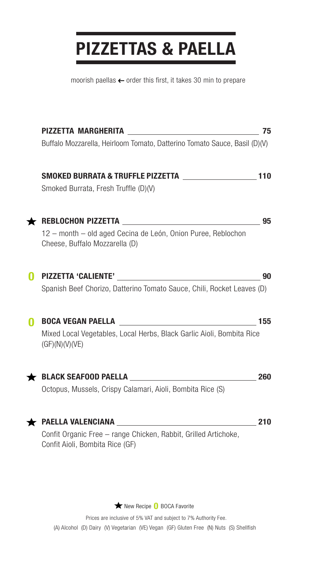### **PIZZETTAS & PAELLA**

moorish paellas  $\leftarrow$  order this first, it takes 30 min to prepare

| PIZZETTA MARGHERITA _______________________________                                                |                                                                                                                                                                                                                                                            |
|----------------------------------------------------------------------------------------------------|------------------------------------------------------------------------------------------------------------------------------------------------------------------------------------------------------------------------------------------------------------|
| Buffalo Mozzarella, Heirloom Tomato, Datterino Tomato Sauce, Basil (D)(V)                          |                                                                                                                                                                                                                                                            |
|                                                                                                    |                                                                                                                                                                                                                                                            |
| Smoked Burrata, Fresh Truffle (D)(V)                                                               |                                                                                                                                                                                                                                                            |
|                                                                                                    | 95                                                                                                                                                                                                                                                         |
| 12 - month - old aged Cecina de León, Onion Puree, Reblochon<br>Cheese, Buffalo Mozzarella (D)     |                                                                                                                                                                                                                                                            |
| <b>PIZZETTA 'CALIENTE'</b>                                                                         | 90                                                                                                                                                                                                                                                         |
|                                                                                                    |                                                                                                                                                                                                                                                            |
| <b>BOCA VEGAN PAELLA</b><br><u> 1980 - Johann Barbara, martxa alemaniar a</u>                      | 155                                                                                                                                                                                                                                                        |
| (GF)(N)(V)(VE)                                                                                     |                                                                                                                                                                                                                                                            |
|                                                                                                    | 260                                                                                                                                                                                                                                                        |
| Octopus, Mussels, Crispy Calamari, Aioli, Bombita Rice (S)                                         |                                                                                                                                                                                                                                                            |
|                                                                                                    | 210                                                                                                                                                                                                                                                        |
| Confit Organic Free - range Chicken, Rabbit, Grilled Artichoke,<br>Confit Aioli, Bombita Rice (GF) |                                                                                                                                                                                                                                                            |
|                                                                                                    | SMOKED BURRATA & TRUFFLE PIZZETTA \[\]<br>Spanish Beef Chorizo, Datterino Tomato Sauce, Chili, Rocket Leaves (D)<br>Mixed Local Vegetables, Local Herbs, Black Garlic Aioli, Bombita Rice<br>PAELLA VALENCIANA UNICORRETATION CONTINUES AND THE CONTRACTOR |

New Recipe **0** BOCA Favorite

Prices are inclusive of 5% VAT and subject to 7% Authority Fee. (A) Alcohol (D) Dairy (V) Vegetarian (VE) Vegan (GF) Gluten Free (N) Nuts (S) Shellfish